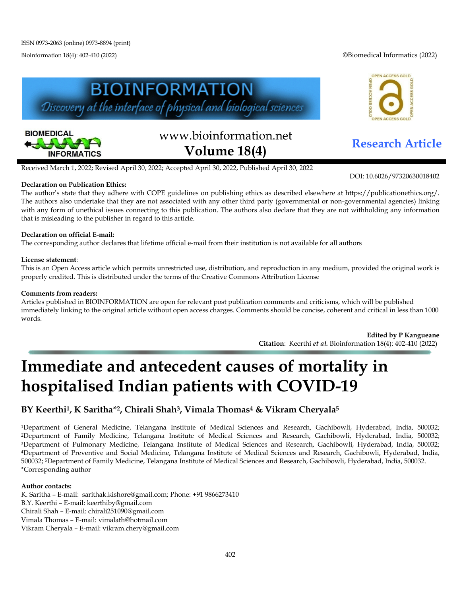Bioinformation 18(4): 402-410 (2022) ©Biomedical Informatics (2022)





# www.bioinformation.net **Research Article Volume 18(4)**



DOI: 10.6026/97320630018402

Received March 1, 2022; Revised April 30, 2022; Accepted April 30, 2022, Published April 30, 2022

## **Declaration on Publication Ethics:**

The author's state that they adhere with COPE guidelines on publishing ethics as described elsewhere at https://publicationethics.org/. The authors also undertake that they are not associated with any other third party (governmental or non-governmental agencies) linking with any form of unethical issues connecting to this publication. The authors also declare that they are not withholding any information that is misleading to the publisher in regard to this article.

## **Declaration on official E-mail:**

The corresponding author declares that lifetime official e-mail from their institution is not available for all authors

#### **License statement**:

This is an Open Access article which permits unrestricted use, distribution, and reproduction in any medium, provided the original work is properly credited. This is distributed under the terms of the Creative Commons Attribution License

#### **Comments from readers:**

Articles published in BIOINFORMATION are open for relevant post publication comments and criticisms, which will be published immediately linking to the original article without open access charges. Comments should be concise, coherent and critical in less than 1000 words.

> **Edited by P Kangueane Citation**: Keerthi *et al.* Bioinformation 18(4): 402-410 (2022)

# **Immediate and antecedent causes of mortality in hospitalised Indian patients with COVID-19**

# **BY Keerthi1, K Saritha\*2, Chirali Shah3, Vimala Thomas4 & Vikram Cheryala5**

1Department of General Medicine, Telangana Institute of Medical Sciences and Research, Gachibowli, Hyderabad, India, 500032; 2Department of Family Medicine, Telangana Institute of Medical Sciences and Research, Gachibowli, Hyderabad, India, 500032; 3Department of Pulmonary Medicine, Telangana Institute of Medical Sciences and Research, Gachibowli, Hyderabad, India, 500032; 4Department of Preventive and Social Medicine, Telangana Institute of Medical Sciences and Research, Gachibowli, Hyderabad, India, 500032; 5Department of Family Medicine, Telangana Institute of Medical Sciences and Research, Gachibowli, Hyderabad, India, 500032. \*Corresponding author

#### **Author contacts:**

K. Saritha – E-mail: sarithak.kishore@gmail.com; Phone: +91 9866273410 B.Y. Keerthi – E-mail: keerthiby@gmail.com Chirali Shah – E-mail: chirali251090@gmail.com Vimala Thomas – E-mail: vimalath@hotmail.com Vikram Cheryala – E-mail: vikram.chery@gmail.com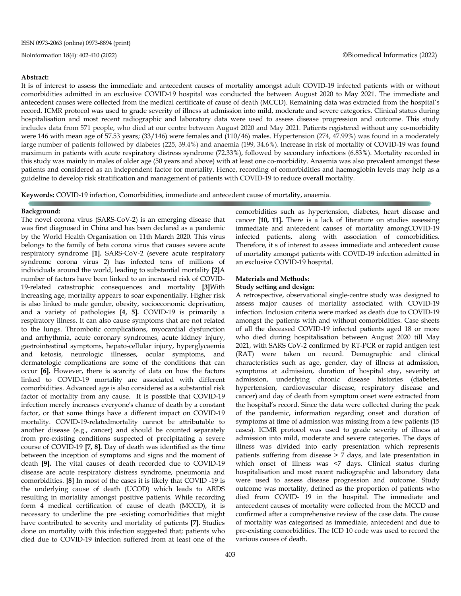#### **Abstract:**

It is of interest to assess the immediate and antecedent causes of mortality amongst adult COVID-19 infected patients with or without comorbidities admitted in an exclusive COVID-19 hospital was conducted the between August 2020 to May 2021. The immediate and antecedent causes were collected from the medical certificate of cause of death (MCCD). Remaining data was extracted from the hospital's record. ICMR protocol was used to grade severity of illness at admission into mild, moderate and severe categories. Clinical status during hospitalisation and most recent radiographic and laboratory data were used to assess disease progression and outcome. This study includes data from 571 people, who died at our centre between August 2020 and May 2021. Patients registered without any co-morbidity were 146 with mean age of 57.53 years; (33/146) were females and (110/46) males. Hypertension (274, 47.99%) was found in a moderately large number of patients followed by diabetes (225, 39.4%) and anaemia (199, 34.6%). Increase in risk of mortality of COVID-19 was found maximum in patients with acute respiratory distress syndrome (72.33%), followed by secondary infections (6.83%). Mortality recorded in this study was mainly in males of older age (50 years and above) with at least one co-morbidity. Anaemia was also prevalent amongst these patients and considered as an independent factor for mortality. Hence, recording of comorbidities and haemoglobin levels may help as a guideline to develop risk stratification and management of patients with COVID-19 to reduce overall mortality.

**Keywords:** COVID-19 infection, Comorbidities, immediate and antecedent cause of mortality, anaemia.

#### **Background:**

The novel corona virus (SARS-CoV-2) is an emerging disease that was first diagnosed in China and has been declared as a pandemic by the World Health Organisation on 11th March 2020. This virus belongs to the family of beta corona virus that causes severe acute respiratory syndrome **[1].** SARS-CoV-2 (severe acute respiratory syndrome corona virus 2) has infected tens of millions of individuals around the world, leading to substantial mortality **[2]**A number of factors have been linked to an increased risk of COVID-19-related catastrophic consequences and mortality **[3]**With increasing age, mortality appears to soar exponentially. Higher risk is also linked to male gender, obesity, socioeconomic deprivation, and a variety of pathologies **[4, 5].** COVID-19 is primarily a respiratory illness. It can also cause symptoms that are not related to the lungs. Thrombotic complications, myocardial dysfunction and arrhythmia, acute coronary syndromes, acute kidney injury, gastrointestinal symptoms, hepato-cellular injury, hyperglycaemia and ketosis, neurologic illnesses, ocular symptoms, and dermatologic complications are some of the conditions that can occur **[6].** However, there is scarcity of data on how the factors linked to COVID-19 mortality are associated with different comorbidities. Advanced age is also considered as a substantial risk factor of mortality from any cause. It is possible that COVID-19 infection merely increases everyone's chance of death by a constant factor, or that some things have a different impact on COVID-19 mortality. COVID-19-relatedmortality cannot be attributable to another disease (e.g., cancer) and should be counted separately from pre-existing conditions suspected of precipitating a severe course of COVID-19 **[7, 8].** Day of death was identified as the time between the inception of symptoms and signs and the moment of death **[9].** The vital causes of death recorded due to COVID-19 disease are acute respiratory distress syndrome, pneumonia and comorbidities. **[8]** In most of the cases it is likely that COVID -19 is the underlying cause of death (UCOD) which leads to ARDS resulting in mortality amongst positive patients. While recording form 4 medical certification of cause of death (MCCD), it is necessary to underline the pre -existing comorbidities that might have contributed to severity and mortality of patients **[7].** Studies done on mortality with this infection suggested that; patients who died due to COVID-19 infection suffered from at least one of the comorbidities such as hypertension, diabetes, heart disease and cancer **[10, 11].** There is a lack of literature on studies assessing immediate and antecedent causes of mortality amongCOVID-19 infected patients, along with association of comorbidities. Therefore, it s of interest to assess immediate and antecedent cause of mortality amongst patients with COVID-19 infection admitted in an exclusive COVID-19 hospital.

#### **Materials and Methods:**

#### **Study setting and design:**

A retrospective, observational single-centre study was designed to assess major causes of mortality associated with COVID-19 infection. Inclusion criteria were marked as death due to COVID-19 amongst the patients with and without comorbidities. Case sheets of all the deceased COVID-19 infected patients aged 18 or more who died during hospitalisation between August 2020 till May 2021, with SARS CoV-2 confirmed by RT-PCR or rapid antigen test (RAT) were taken on record. Demographic and clinical characteristics such as age, gender, day of illness at admission, symptoms at admission, duration of hospital stay, severity at admission, underlying chronic disease histories (diabetes, hypertension, cardiovascular disease, respiratory disease and cancer) and day of death from symptom onset were extracted from the hospital's record. Since the data were collected during the peak of the pandemic, information regarding onset and duration of symptoms at time of admission was missing from a few patients (15 cases). ICMR protocol was used to grade severity of illness at admission into mild, moderate and severe categories. The days of illness was divided into early presentation which represents patients suffering from disease > 7 days, and late presentation in which onset of illness was <7 days. Clinical status during hospitalisation and most recent radiographic and laboratory data were used to assess disease progression and outcome. Study outcome was mortality, defined as the proportion of patients who died from COVID- 19 in the hospital. The immediate and antecedent causes of mortality were collected from the MCCD and confirmed after a comprehensive review of the case data. The cause of mortality was categorised as immediate, antecedent and due to pre-existing comorbidities. The ICD 10 code was used to record the various causes of death.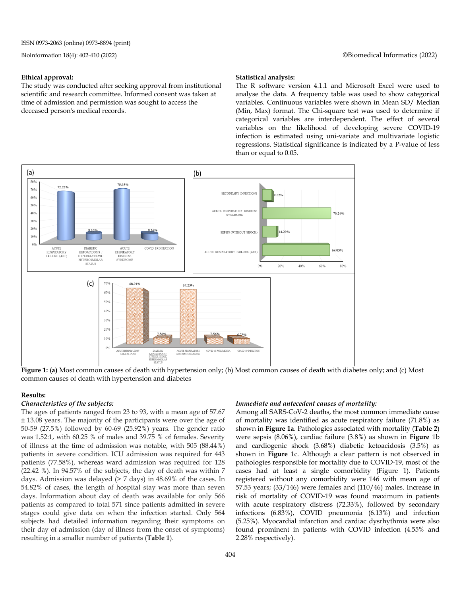#### **Ethical approval:**

The study was conducted after seeking approval from institutional scientific and research committee. Informed consent was taken at time of admission and permission was sought to access the deceased person's medical records.

#### **Statistical analysis:**

The R software version 4.1.1 and Microsoft Excel were used to analyse the data. A frequency table was used to show categorical variables. Continuous variables were shown in Mean SD/ Median (Min, Max) format. The Chi-square test was used to determine if categorical variables are interdependent. The effect of several variables on the likelihood of developing severe COVID-19 infection is estimated using uni-variate and multivariate logistic regressions. Statistical significance is indicated by a P-value of less than or equal to 0.05.



**Figure 1: (a)** Most common causes of death with hypertension only; (b) Most common causes of death with diabetes only; and (c) Most common causes of death with hypertension and diabetes

#### **Results:**

#### *Characteristics of the subjects:*

The ages of patients ranged from 23 to 93, with a mean age of 57.67 ± 13.08 years. The majority of the participants were over the age of 50-59 (27.5%) followed by 60-69 (25.92%) years. The gender ratio was 1.52:1, with 60.25 % of males and 39.75 % of females. Severity of illness at the time of admission was notable, with 505 (88.44%) patients in severe condition. ICU admission was required for 443 patients (77.58%), whereas ward admission was required for 128 (22.42 %). In 94.57% of the subjects, the day of death was within 7 days. Admission was delayed (> 7 days) in 48.69% of the cases. In 54.82% of cases, the length of hospital stay was more than seven days. Information about day of death was available for only 566 patients as compared to total 571 since patients admitted in severe stages could give data on when the infection started. Only 564 subjects had detailed information regarding their symptoms on their day of admission (day of illness from the onset of symptoms) resulting in a smaller number of patients (**Table 1**).

#### *Immediate and antecedent causes of mortality:*

Among all SARS-CoV-2 deaths, the most common immediate cause of mortality was identified as acute respiratory failure (71.8%) as shown in **Figure 1a**. Pathologies associated with mortality (**Table 2**) were sepsis (8.06%), cardiac failure (3.8%) as shown in **Figure** 1b and cardiogenic shock (3.68%) diabetic ketoacidosis (3.5%) as shown in **Figure** 1c. Although a clear pattern is not observed in pathologies responsible for mortality due to COVID-19, most of the cases had at least a single comorbidity (Figure 1). Patients registered without any comorbidity were 146 with mean age of 57.53 years; (33/146) were females and (110/46) males. Increase in risk of mortality of COVID-19 was found maximum in patients with acute respiratory distress (72.33%), followed by secondary infections (6.83%), COVID pneumonia (6.13%) and infection (5.25%). Myocardial infarction and cardiac dysrhythmia were also found prominent in patients with COVID infection (4.55% and 2.28% respectively).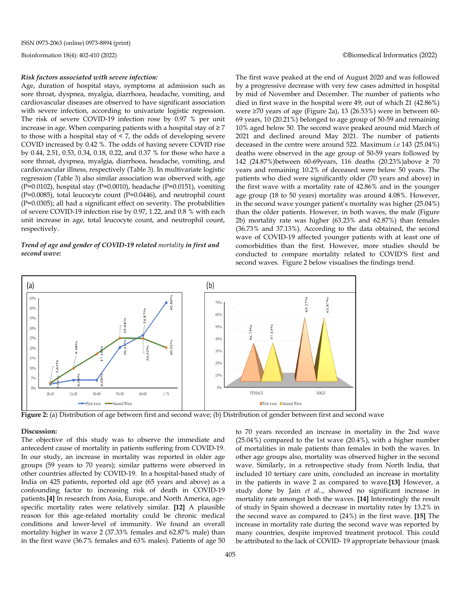#### *Risk factors associated with severe infection:*

Age, duration of hospital stays, symptoms at admission such as sore throat, dyspnea, myalgia, diarrhoea, headache, vomiting, and cardiovascular diseases are observed to have significant association with severe infection, according to univariate logistic regression. The risk of severe COVID-19 infection rose by 0.97 % per unit increase in age. When comparing patients with a hospital stay of  $\geq 7$ to those with a hospital stay of < 7, the odds of developing severe COVID increased by 0.42 %. The odds of having severe COVID rise by 0.44, 2.51, 0.53, 0.34, 0.18, 0.22, and 0.37 % for those who have a sore throat, dyspnea, myalgia, diarrhoea, headache, vomiting, and cardiovascular illness, respectively (Table 3). In multivariate logistic regression (Table 3) also similar association was observed with, age (P=0.0102), hospital stay (P=0.0010), headache (P=0.0151), vomiting (P=0.0085), total leucocyte count (P=0.0446), and neutrophil count (P=0.0305); all had a significant effect on severity. The probabilities of severe COVID-19 infection rise by 0.97, 1.22, and 0.8 % with each unit increase in age, total leucocyte count, and neutrophil count, respectively.

#### *Trend of age and gender of COVID-19 related mortality in first and second wave:*

The first wave peaked at the end of August 2020 and was followed by a progressive decrease with very few cases admitted in hospital by mid of November and December. The number of patients who died in first wave in the hospital were 49; out of which 21 (42.86%) were ≥70 years of age (Figure 2a), 13 (26.53%) were in between 60- 69 years, 10 (20.21%) belonged to age group of 50-59 and remaining 10% aged below 50. The second wave peaked around mid March of 2021 and declined around May 2021. The number of patients deceased in the centre were around 522. Maximum *i.e* 143 (25.04%) deaths were observed in the age group of 50-59 years followed by 142 (24.87%)between 60-69years, 116 deaths (20.23%)above ≥ 70 years and remaining 10.2% of deceased were below 50 years. The patients who died were significantly older (70 years and above) in the first wave with a mortality rate of 42.86% and in the younger age group (18 to 50 years) mortality was around 4.08%. However, in the second wave younger patient's mortality was higher (25.04%) than the older patients. However, in both waves, the male (Figure 2b) mortality rate was higher (63.23% and 62.87%) than females (36.73% and 37.13%). According to the data obtained, the second wave of COVID-19 affected younger patients with at least one of comorbidities than the first. However, more studies should be conducted to compare mortality related to COVID'S first and second waves. Figure 2 below visualises the findings trend.



**Figure 2:** (a) Distribution of age between first and second wave; (b) Distribution of gender between first and second wave

#### **Discussion:**

The objective of this study was to observe the immediate and antecedent cause of mortality in patients suffering from COVID-19. In our study, an increase in mortality was reported in older age groups (59 years to 70 years); similar patterns were observed in other countries affected by COVID-19. In a hospital-based study of India on 425 patients, reported old age (65 years and above) as a confounding factor to increasing risk of death in COVID-19 patients.**[4]** In research from Asia, Europe, and North America, agespecific mortality rates were relatively similar. **[12]** A plausible reason for this age-related mortality could be chronic medical conditions and lower-level of immunity. We found an overall mortality higher in wave 2 (37.33% females and 62.87% male) than in the first wave (36.7% females and 63% males). Patients of age 50

to 70 years recorded an increase in mortality in the 2nd wave (25.04%) compared to the 1st wave (20.4%), with a higher number of mortalities in male patients than females in both the waves. In other age groups also, mortality was observed higher in the second wave. Similarly, in a retrospective study from North India, that included 10 tertiary care units, concluded an increase in mortality in the patients in wave 2 as compared to wave.**[13]** However, a study done by Jain *et al.*., showed no significant increase in mortality rate amongst both the waves. **[14]** Interestingly the result of study in Spain showed a decrease in mortality rates by 13.2% in the second wave as compared to (24%) in the first wave. **[15]** The increase in mortality rate during the second wave was reported by many countries, despite improved treatment protocol. This could be attributed to the lack of COVID- 19 appropriate behaviour (mask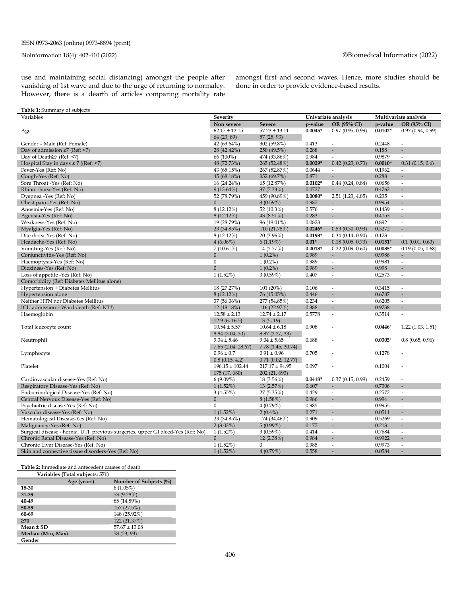use and maintaining social distancing) amongst the people after vanishing of 1st wave and due to the urge of returning to normalcy. However, there is a dearth of articles comparing mortality rate amongst first and second waves. Hence, more studies should be done in order to provide evidence-based results.

| Table 1: Summary of subjects                                                     |                     |                    |                     |                              |                       |                              |
|----------------------------------------------------------------------------------|---------------------|--------------------|---------------------|------------------------------|-----------------------|------------------------------|
| Variables                                                                        | Severity            |                    | Univariate analysis |                              | Multivariate analysis |                              |
|                                                                                  | Non severe          | <b>Severe</b>      | p-value             | OR (95% CI)                  | p-value               | OR (95% CI)                  |
| Age                                                                              | $62.17 \pm 12.15$   | $57.23 \pm 13.11$  | $0.0045*$           | 0.97(0.95, 0.99)             | $0.0102*$             | 0.97(0.94, 0.99)             |
|                                                                                  | 64 (23, 89)         | 57(25, 93)         |                     |                              |                       |                              |
| Gender – Male (Ref: Female)                                                      | 42 (63.64%)         | 302 (59.8%)        | 0.413               |                              | 0.2448                |                              |
| Day of admission $\geq$ 7 (Ref: <7)                                              | 28 (42.42%)         | 250 (49.5%)        | 0.288               |                              | 0.188                 | Ξ                            |
| Day of Death≥7 (Ref: <7)                                                         | 66 (100%)           | 474 (93.86%)       | 0.984               | ÷                            | 0.9879                | $\sim$                       |
| Hospital Stay in days $\geq 7$ ((Ref: <7)                                        | 48 (72.73%)         | 265 (52.48%)       | $0.0029*$           | 0.42(0.23, 0.73)             | $0.0010*$             | 0.31(0.15, 0.6)              |
| Fever-Yes (Ref: No)                                                              | 43 (65.15%)         | 267 (52.87%)       | 0.0644              | $\overline{\phantom{a}}$     | 0.1962                | $\overline{\phantom{a}}$     |
| Cough-Yes (Ref: No)                                                              | 45 (68.18%)         | 352 (69.7%)        | 0.871               |                              | 0.288                 |                              |
| Sore Throat -Yes (Ref: No)                                                       | 16 (24.24%)         | 65 (12.87%)        | $0.0102*$           | 0.44(0.24, 0.84)             | 0.0656                | $\sim$                       |
| Rhinorrhoea-Yes (Ref: No)                                                        | $9(13.64\%)$        | 37 (7.33%)         | 0.0727              |                              | 0.4762                | $\overline{\phantom{a}}$     |
| Dyspnea -Yes (Ref: No)                                                           | 52 (78.79%)         | 459 (90.89%)       | $0.0080*$           | 2.51(1.23, 4.85)             | 0.235                 | $\sim$                       |
| Chest pain -Yes (Ref: No)                                                        | $\overline{0}$      | 3(0.59%)           | 0.987               | ÷.                           | 0.9954                | ÷,                           |
| Anosmia-Yes (Ref: No)                                                            | 8(12.12%)           | 52 (10.3%)         | 0.576               | $\overline{a}$               | 0.1439                | $\sim$                       |
| Ageusia-Yes (Ref: No)                                                            | 8(12.12%)           | 43 (8.51%)         | 0.283               |                              | 0.4153                | $\overline{\phantom{a}}$     |
| Weakness-Yes (Ref: No)                                                           | 19 (28.79%)         | 96 (19.01%)        | 0.0823              | $\overline{\phantom{a}}$     | 0.892                 | $\sim$                       |
| Myalgia-Yes (Ref: No)                                                            | 23 (34.85%)         | 110 (21.78%)       | $0.0246*$           | 0.53(0.30, 0.93)             | 0.3272                | Ξ                            |
| Diarrhoea-Yes (Ref: No)                                                          | 8 (12.12%)          | 20 (3.96%)         | $0.0193*$           | 0.34(0.14, 0.90)             | 0.173                 | $\omega$                     |
| Headache-Yes (Ref: No)                                                           | $4(6.06\%)$         | 6(1.19%)           | $0.01*$             | 0.18(0.05, 0.73)             | $0.0151*$             | 0.1(0.01, 0.63)              |
| Vomiting-Yes (Ref: No)                                                           | $7(10.61\%)$        | 14 (2.77%)         | $0.0018*$           | 0.22(0.09, 0.60)             | $0.0085*$             | 0.19(0.05, 0.68)             |
| Conjunctivitis-Yes (Ref: No)                                                     | $\mathbf{0}$        | $1(0.2\%)$         | 0.989               | ٠                            | 0.9986                | $\overline{\phantom{a}}$     |
| Haemoptysis-Yes (Ref: No)                                                        | $\mathbf{0}$        | $1(0.2\%)$         | 0.989               | $\omega$                     | 0.9981                | $\sim$                       |
| Dizziness-Yes (Ref: No)                                                          | $\boldsymbol{0}$    | $1(0.2\%)$         | 0.989               |                              | 0.998                 | $\overline{a}$               |
| Loss of appetite -Yes (Ref: No)                                                  | 1(1.52%)            | 3(0.59%)           | 0.407               | $\overline{\phantom{a}}$     | 0.2573                | $\overline{\phantom{a}}$     |
| Comorbidity (Ref: Diabetes Mellitus alone)                                       |                     |                    |                     |                              |                       |                              |
| Hypertension + Diabetes Mellitus                                                 | 18 (27.27%)         | 101(20%)           | 0.106               | $\overline{\phantom{a}}$     | 0.3415                | $\sim$                       |
| Hypertension alone                                                               | 8(12.12%)           | 76 (15.05%)        | 0.446               | $\qquad \qquad \blacksquare$ | 0.6787                | $\qquad \qquad \blacksquare$ |
| Neither HTN nor Diabetes Mellitus                                                | 37 (56.06%)         | 277 (54.85%)       | 0.234               | $\overline{\phantom{a}}$     | 0.6205                | $\overline{\phantom{a}}$     |
| ICU admission - Ward death (Ref: ICU)                                            | 12 (18.18%)         | 116 (22.97%)       | 0.388               | ÷.                           | 0.9738                | ÷,                           |
| Haemoglobin                                                                      | $12.58 \pm 2.13$    | $12.74 \pm 2.17$   | 0.5778              | $\overline{\phantom{a}}$     | 0.3514                | $\overline{\phantom{a}}$     |
|                                                                                  | 12.9(6, 16.5)       | 13(5, 19)          |                     |                              |                       |                              |
| Total leucocyte count                                                            | $10.54 \pm 5.57$    | $10.64 \pm 6.18$   | 0.908               |                              | $0.0446*$             | 1.22(1.03, 1.51)             |
|                                                                                  | 8.84 (3.04, 30)     | 8.87(2.27, 33)     |                     |                              |                       |                              |
| Neutrophil                                                                       | $9.34 \pm 5.46$     | $9.04 \pm 5.65$    | 0.688               |                              | $0.0305*$             | 0.8(0.65, 0.96)              |
|                                                                                  | 7.65(2.04, 28.67)   | 7.78 (1.45, 30.74) |                     |                              |                       |                              |
| Lymphocyte                                                                       | $0.96 \pm 0.7$      | $0.91 \pm 0.96$    | 0.705               |                              | 0.1278                |                              |
|                                                                                  | 0.8(0.15, 4.2)      | 0.71(0.02, 12.77)  |                     |                              |                       |                              |
| Platelet                                                                         | $196.15 \pm 102.44$ | $217.17 \pm 94.95$ | 0.097               |                              | 0.1004                |                              |
|                                                                                  | 175 (17, 680)       | 202 (21, 693)      |                     |                              |                       |                              |
| Cardiovascular disease-Yes (Ref: No)                                             | 6(9.09%)            | 18 (3.56%)         | $0.0418*$           | 0.37(0.15, 0.99)             | 0.2459                | $\overline{a}$               |
| Respiratory Disease-Yes (Ref: No)                                                | 1(1.52%)            | 13(2.57%)          | 0.607               |                              | 0.7306                | $\overline{\phantom{a}}$     |
| Endocrinological Disease-Yes (Ref: No)                                           | 3(4.55%)            | 27 (5.35%)         | 0.429               | $\overline{\phantom{a}}$     | 0.2572                | $\sim$                       |
| Central Nervous Disease-Yes (Ref: No)                                            | $\boldsymbol{0}$    | 8(1.58%)           | 0.986               |                              | 0.994                 | Ξ                            |
| Psychiatric disease-Yes (Ref: No)                                                | $\mathbf{0}$        | 4(0.79%)           | 0.985               | $\overline{\phantom{a}}$     | 0.9955                | $\overline{\phantom{a}}$     |
| Vascular disease-Yes (Ref: No)                                                   | 1(1.52%)            | $2(0.4\%)$         | 0.271               |                              | 0.0511                | ÷,                           |
| Hematological Disease-Yes (Ref: No)                                              | 23 (34.85%)         | 174 (34.46%)       | 0.909               | $\overline{\phantom{a}}$     | 0.5269                | $\overline{\phantom{a}}$     |
| Malignancy-Yes (Ref: No)                                                         | $2(3.03\%)$         | 5(0.99%)           | 0.177               | $\overline{\phantom{a}}$     | 0.213                 | $\overline{a}$               |
| Surgical disease - hernia, UTI, previous surgeries, upper GI bleed-Yes (Ref: No) | 1(1.52%)            | 3(0.59%)           | 0.414               | $\overline{\phantom{a}}$     | 0.7684                | $\sim$                       |
| Chronic Renal Disease-Yes (Ref: No)                                              | $\boldsymbol{0}$    | 12 (2.38%)         | 0.984               | $\Box$                       | 0.9922                |                              |
| Chronic Liver Disease-Yes (Ref: No)                                              | 1(1.52%)            | $\mathbf{0}$       | 0.985               | ÷                            | 0.9973                | $\sim$                       |
| Skin and connective tissue disorders-Yes (Ref: No)                               | 1(1.52%)            | 4(0.79%)           | 0.558               |                              | 0.0584                |                              |

**Table 2:** Immediate and antecedent causes of death

|                   | Variables (Total subjects: 571) |                          |
|-------------------|---------------------------------|--------------------------|
|                   | Age (years)                     | Number of Subjects $(\%$ |
| 18-30             |                                 | 6(1.05%)                 |
| $31 - 39$         |                                 | 53 (9.28%)               |
| 40-49             |                                 | 85 (14.89%)              |
| 50-59             |                                 | 157 (27.5%)              |
| 60-69             |                                 | 148 (25.92%)             |
| $\geq 70$         |                                 | 122 (21.37%)             |
| Mean ± SD         |                                 | $57.67 \pm 13.08$        |
| Median (Min, Max) |                                 | 58 (23, 93)              |
| Gender            |                                 |                          |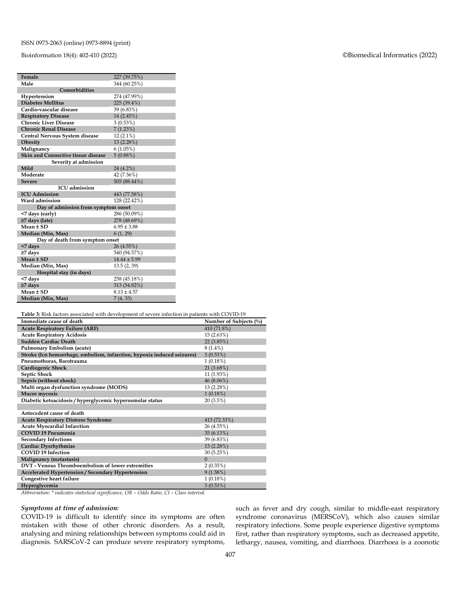#### ISSN 0973-2063 (online) 0973-8894 (print)

#### Bioinformation 18(4): 402-410 (2022) ©Biomedical Informatics (2022)

| Female                              | 227 (39.75%)     |  |  |  |  |  |
|-------------------------------------|------------------|--|--|--|--|--|
| Male                                | 344 (60.25%)     |  |  |  |  |  |
| Comorbidities                       |                  |  |  |  |  |  |
| Hypertension                        | 274 (47.99%)     |  |  |  |  |  |
| <b>Diabetes Mellitus</b>            | 225 (39.4%)      |  |  |  |  |  |
| Cardio-vascular disease             | 39 (6.83%)       |  |  |  |  |  |
| <b>Respiratory Disease</b>          | 14 (2.45%)       |  |  |  |  |  |
| <b>Chronic Liver Disease</b>        | 3(0.53%)         |  |  |  |  |  |
| <b>Chronic Renal Disease</b>        | 7(1.23%)         |  |  |  |  |  |
| Central Nervous System disease      | $12(2.1\%)$      |  |  |  |  |  |
| Obesity                             | 13 (2.28%)       |  |  |  |  |  |
| Malignancy                          | 6(1.05%)         |  |  |  |  |  |
| Skin and Connective tissue disease  | 5(0.88%)         |  |  |  |  |  |
| Severity at admission               |                  |  |  |  |  |  |
| Mild                                | 24 (4.2%)        |  |  |  |  |  |
| Moderate                            | 42 (7.36%)       |  |  |  |  |  |
| <b>Severe</b>                       | 505 (88.44%)     |  |  |  |  |  |
| <b>ICU</b> admission                |                  |  |  |  |  |  |
| <b>ICU</b> Admission                | 443 (77.58%)     |  |  |  |  |  |
| Ward admission                      | 128 (22.42%)     |  |  |  |  |  |
| Day of admission from symptom onset |                  |  |  |  |  |  |
| <7 days (early)                     | 286 (50.09%)     |  |  |  |  |  |
| ≥7 days (late)                      | 278 (48.69%)     |  |  |  |  |  |
| Mean ± SD                           | $6.95 \pm 3.88$  |  |  |  |  |  |
| Median (Min, Max)                   | 6(1, 29)         |  |  |  |  |  |
| Day of death from symptom onset     |                  |  |  |  |  |  |
| <7 days                             | 26 (4.55%)       |  |  |  |  |  |
| $\geq$ 7 days                       | 540 (94.57%)     |  |  |  |  |  |
| Mean ± SD                           | $14.44 \pm 5.99$ |  |  |  |  |  |
| Median (Min, Max)                   | 13.5(2, 39)      |  |  |  |  |  |
| Hospital stay (in days)             |                  |  |  |  |  |  |
| <7 days                             | 258 (45.18%)     |  |  |  |  |  |
| $\geq$ 7 days                       | 313 (54.82%)     |  |  |  |  |  |
| Mean ± SD                           | $8.13 \pm 4.57$  |  |  |  |  |  |
| Median (Min, Max)                   | 7(4, 33)         |  |  |  |  |  |

**Table 3:** Risk factors associated with development of severe infection in patients with COVID-19

| Immediate cause of death                                                | Number of Subjects (%) |
|-------------------------------------------------------------------------|------------------------|
| <b>Acute Respiratory Failure (ARF)</b>                                  | 410 (71.8%)            |
| <b>Acute Respiratory Acidosis</b>                                       | 15 (2.63%)             |
| Sudden Cardiac Death                                                    | 22(3.85%)              |
| Pulmonary Embolism (acute)                                              | $8(1.4\%)$             |
| Stroke (Icn hemorrhage, embolism, infarction, hypoxia induced seizures) | 3(0.53%)               |
| Pneumothorax, Barotrauma                                                | $1(0.18\%)$            |
| <b>Cardiogenic Shock</b>                                                | 21 (3.68%)             |
| <b>Septic Shock</b>                                                     | 11 (1.93%)             |
| Sepsis (without shock)                                                  | 46 (8.06%)             |
| Multi organ dysfunction syndrome (MODS)                                 | 13(2.28%)              |
| Mucor mycosis                                                           | $1(0.18\%)$            |
| Diabetic ketoacidosis / hyperglycemic hyperosmolar status               | 20(3.5%)               |
|                                                                         |                        |
| Antecedent cause of death                                               |                        |
| <b>Acute Respiratory Distress Syndrome</b>                              | 413 (72.33%)           |
| <b>Acute Myocardial Infarction</b>                                      | 26 (4.55%)             |
| <b>COVID 19 Pneumonia</b>                                               | 35 (6.13%)             |
| <b>Secondary Infections</b>                                             | 39 (6.83%)             |
| <b>Cardiac Dysrhythmias</b>                                             | 13 (2.28%)             |
| <b>COVID 19 Infection</b>                                               | 30 (5.25%)             |
| Malignancy (metastasis)                                                 | $\mathbf{0}$           |
| DVT - Venous Thromboembolism of lower extremities                       | 2(0.35%)               |
| Accelerated Hypertension / Secondary Hypertension                       | 9(1.58%)               |
| Congestive heart failure                                                | 1(0.18%)               |
| Hyperglycemia                                                           | 3(0.53%)               |

*Abbreviation: \* indicates statistical significance, OR – Odds Ratio, CI – Class interval.*

#### *Symptoms at time of admission:*

COVID-19 is difficult to identify since its symptoms are often mistaken with those of other chronic disorders. As a result, analysing and mining relationships between symptoms could aid in diagnosis. SARSCoV-2 can produce severe respiratory symptoms, such as fever and dry cough, similar to middle-east respiratory syndrome coronavirus (MERSCoV), which also causes similar respiratory infections. Some people experience digestive symptoms first, rather than respiratory symptoms, such as decreased appetite, lethargy, nausea, vomiting, and diarrhoea. Diarrhoea is a zoonotic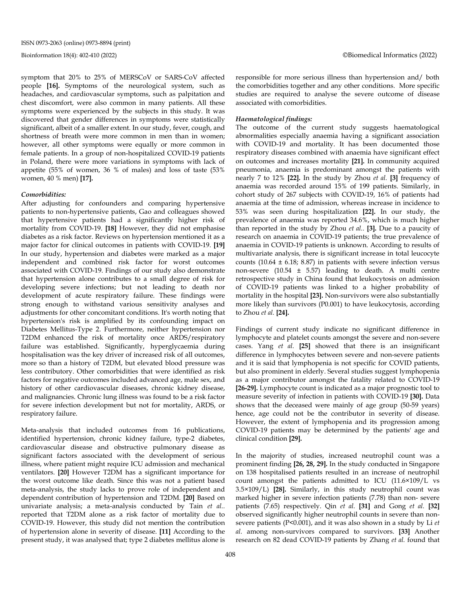symptom that 20% to 25% of MERSCoV or SARS-CoV affected people **[16].** Symptoms of the neurological system, such as headaches, and cardiovascular symptoms, such as palpitation and chest discomfort, were also common in many patients. All these symptoms were experienced by the subjects in this study. It was discovered that gender differences in symptoms were statistically significant, albeit of a smaller extent. In our study, fever, cough, and shortness of breath were more common in men than in women; however, all other symptoms were equally or more common in female patients. In a group of non-hospitalized COVID-19 patients in Poland, there were more variations in symptoms with lack of appetite (55% of women, 36 % of males) and loss of taste (53% women, 40 % men) **[17].**

#### *Comorbidities:*

After adjusting for confounders and comparing hypertensive patients to non-hypertensive patients, Gao and colleagues showed that hypertensive patients had a significantly higher risk of mortality from COVID-19. **[18]** However, they did not emphasise diabetes as a risk factor. Reviews on hypertension mentioned it as a major factor for clinical outcomes in patients with COVID-19. **[19]** In our study, hypertension and diabetes were marked as a major independent and combined risk factor for worst outcomes associated with COVID-19. Findings of our study also demonstrate that hypertension alone contributes to a small degree of risk for developing severe infections; but not leading to death nor development of acute respiratory failure. These findings were strong enough to withstand various sensitivity analyses and adjustments for other concomitant conditions. It's worth noting that hypertension's risk is amplified by its confounding impact on Diabetes Mellitus-Type 2. Furthermore, neither hypertension nor T2DM enhanced the risk of mortality once ARDS/respiratory failure was established. Significantly, hyperglycaemia during hospitalisation was the key driver of increased risk of all outcomes, more so than a history of T2DM, but elevated blood pressure was less contributory. Other comorbidities that were identified as risk factors for negative outcomes included advanced age, male sex, and history of other cardiovascular diseases, chronic kidney disease, and malignancies. Chronic lung illness was found to be a risk factor for severe infection development but not for mortality, ARDS, or respiratory failure.

Meta-analysis that included outcomes from 16 publications, identified hypertension, chronic kidney failure, type-2 diabetes, cardiovascular disease and obstructive pulmonary disease as significant factors associated with the development of serious illness, where patient might require ICU admission and mechanical ventilators. **[20]** However T2DM has a significant importance for the worst outcome like death. Since this was not a patient based meta-analysis, the study lacks to prove role of independent and dependent contribution of hypertension and T2DM. **[20]** Based on univariate analysis; a meta-analysis conducted by Tain *et al..* reported that T2DM alone as a risk factor of mortality due to COVID-19. However, this study did not mention the contribution of hypertension alone in severity of disease. **[11]** According to the present study, it was analysed that; type 2 diabetes mellitus alone is responsible for more serious illness than hypertension and/ both the comorbidities together and any other conditions. More specific studies are required to analyse the severe outcome of disease associated with comorbidities.

#### *Haematological findings:*

The outcome of the current study suggests haematological abnormalities especially anaemia having a significant association with COVID-19 and mortality. It has been documented those respiratory diseases combined with anaemia have significant effect on outcomes and increases mortality **[21].** In community acquired pneumonia, anaemia is predominant amongst the patients with nearly 7 to 12% **[22].** In the study by Zhou *et al.* **[3]** frequency of anaemia was recorded around 15% of 199 patients. Similarly, in cohort study of 267 subjects with COVID-19, 16% of patients had anaemia at the time of admission, whereas increase in incidence to 53% was seen during hospitalization **[22].** In our study, the prevalence of anaemia was reported 34.6%, which is much higher than reported in the study by Zhou *et al..* **[3].** Due to a paucity of research on anaemia in COVID-19 patients; the true prevalence of anaemia in COVID-19 patients is unknown. According to results of multivariate analysis, there is significant increase in total leucocyte counts (10.64  $\pm$  6.18; 8.87) in patients with severe infection versus non-severe (10.54 ± 5.57) leading to death. A multi centre retrospective study in China found that leukocytosis on admission of COVID-19 patients was linked to a higher probability of mortality in the hospital **[23].** Non-survivors were also substantially more likely than survivors (P0.001) to have leukocytosis, according to Zhou *et al.* **[24].**

Findings of current study indicate no significant difference in lymphocyte and platelet counts amongst the severe and non-severe cases. Yang *et al.* **[25]** showed that there is an insignificant difference in lymphocytes between severe and non-severe patients and it is said that lymphopenia is not specific for COVID patients, but also prominent in elderly. Several studies suggest lymphopenia as a major contributor amongst the fatality related to COVID-19 **[26-29].** Lymphocyte count is indicated as a major prognostic tool to measure severity of infection in patients with COVID-19 **[30].** Data shows that the deceased were mainly of age group (50-59 years) hence, age could not be the contributor in severity of disease. However, the extent of lymphopenia and its progression among COVID-19 patients may be determined by the patients' age and clinical condition **[29].**

In the majority of studies, increased neutrophil count was a prominent finding **[26, 28, 29].** In the study conducted in Singapore on 138 hospitalised patients resulted in an increase of neutrophil count amongst the patients admitted to ICU (11.6×109/L vs 3.5×109/L) **[28].** Similarly, in this study neutrophil count was marked higher in severe infection patients (7.78) than non- severe patients (7.65) respectively. Qin *et al.* **[31]** and Gong *et al.* **[32]** observed significantly higher neutrophil counts in severe than nonsevere patients (P<0.001), and it was also shown in a study by Li *et al.* among non-survivors compared to survivors. **[33]** Another research on 82 dead COVID-19 patients by Zhang *et al.* found that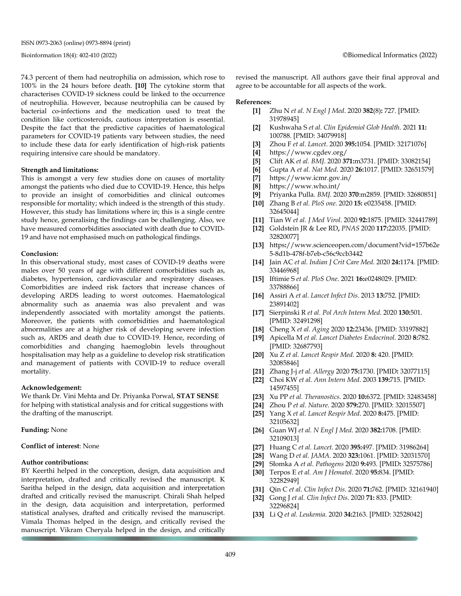ISSN 0973-2063 (online) 0973-8894 (print)

74.3 percent of them had neutrophilia on admission, which rose to 100% in the 24 hours before death. **[10]** The cytokine storm that characterises COVID-19 sickness could be linked to the occurrence of neutrophilia. However, because neutrophilia can be caused by bacterial co-infections and the medication used to treat the condition like corticosteroids, cautious interpretation is essential. Despite the fact that the predictive capacities of haematological parameters for COVID-19 patients vary between studies, the need to include these data for early identification of high-risk patients requiring intensive care should be mandatory.

#### **Strength and limitations:**

This is amongst a very few studies done on causes of mortality amongst the patients who died due to COVID-19. Hence, this helps to provide an insight of comorbidities and clinical outcomes responsible for mortality; which indeed is the strength of this study. However, this study has limitations where in; this is a single centre study hence, generalising the findings can be challenging. Also, we have measured comorbidities associated with death due to COVID-19 and have not emphasised much on pathological findings.

#### **Conclusion:**

In this observational study, most cases of COVID-19 deaths were males over 50 years of age with different comorbidities such as, diabetes, hypertension, cardiovascular and respiratory diseases. Comorbidities are indeed risk factors that increase chances of developing ARDS leading to worst outcomes. Haematological abnormality such as anaemia was also prevalent and was independently associated with mortality amongst the patients. Moreover, the patients with comorbidities and haematological abnormalities are at a higher risk of developing severe infection such as, ARDS and death due to COVID-19. Hence, recording of comorbidities and changing haemoglobin levels throughout hospitalisation may help as a guideline to develop risk stratification and management of patients with COVID-19 to reduce overall mortality.

#### **Acknowledgement:**

We thank Dr. Vini Mehta and Dr. Priyanka Porwal, **STAT SENSE** for helping with statistical analysis and for critical suggestions with the drafting of the manuscript.

#### **Funding:** None

#### **Conflict of interest**: None

#### **Author contributions:**

BY Keerthi helped in the conception, design, data acquisition and interpretation, drafted and critically revised the manuscript. K Saritha helped in the design, data acquisition and interpretation drafted and critically revised the manuscript. Chirali Shah helped in the design, data acquisition and interpretation, performed statistical analyses, drafted and critically revised the manuscript. Vimala Thomas helped in the design, and critically revised the manuscript. Vikram Cheryala helped in the design, and critically revised the manuscript. All authors gave their final approval and agree to be accountable for all aspects of the work.

#### **References:**

- **[1]** Zhu N *et al. N Engl J Med*. 2020 **382**(8)**:** 727. [PMID: 31978945]
- **[2]** Kushwaha S *et al. Clin Epidemiol Glob Health*. 2021 **11:** 100788. [PMID: 34079918]
- **[3]** Zhou F *et al. Lancet*. 2020 **395:**1054. [PMID: 32171076]
- **[4]** https://www.cgdev.org/
- **[5]** Clift AK *et al. BMJ*. 2020 **371:**m3731. [PMID: 33082154]
- **[6]** Gupta A *et al. Nat Med*. 2020 **26:**1017. [PMID: 32651579]
- **[7]** https://www.icmr.gov.in/
- **[8]** https://www.who.int/
- **[9]** Priyanka Pulla. *BMJ*. 2020 **370**:m2859. [PMID: 32680851]
- **[10]** Zhang B *et al. PloS one*. 2020 **15:** e0235458. [PMID: 32645044]
- **[11]** Tian W *et al. J Med Virol*. 2020 **92:**1875. [PMID: 32441789]
- **[12]** Goldstein JR & Lee RD**,** *PNAS* 2020 **117:**22035. [PMID: 32820077]
- **[13]** https**:**//www.scienceopen.com/document?vid=157b62e 5-8d1b-478f-b7eb-c56c9ccb3442
- **[14]** Jain AC *et al. Indian J Crit Care Med*. 2020 **24:**1174. [PMID: 33446968]
- **[15]** Iftimie S *et al. PloS One*. 2021 **16:**e0248029. [PMID: 33788866]
- **[16]** Assiri A *et al. Lancet Infect Dis*. 2013 **13:**752. [PMID: 23891402]
- **[17]** Sierpinski R *et al. Pol Arch Intern Med*. 2020 **130:**501. [PMID: 32491298]
- **[18]** Cheng X *et al. Aging* 2020 **12:**23436. [PMID: 33197882]
- **[19]** Apicella M *et al. Lancet Diabetes Endocrinol*. 2020 **8:**782. [PMID: 32687793]
- **[20]** Xu Z *et al. Lancet Respir Med*. 2020 **8:** 420. [PMID: 32085846]
- **[21]** Zhang J-j *et al. Allergy* 2020 **75:**1730. [PMID**:** 32077115]
- **[22]** Choi KW *et al. Ann Intern Med*. 2003 **139:**715. [PMID: 14597455]
- **[23]** Xu PP *et al. Theranostics*. 2020 **10:**6372. [PMID: 32483458]
- **[24]** Zhou P *et al. Nature*. 2020 **579:**270. [PMID: 32015507]
- **[25]** Yang X *et al. Lancet Respir Med*. 2020 **8:**475. [PMID: 32105632]
- **[26]** Guan WJ *et al. N Engl J Med*. 2020 **382:**1708. [PMID: 32109013]
- **[27]** Huang C *et al. Lancet*. 2020 **395:**497. [PMID: 31986264]
- **[28]** Wang D *et al. JAMA*. 2020 **323:**1061. [PMID: 32031570]
- **[29]** Słomka A *et al*. *Pathogens* 2020 **9:**493. [PMID**:** 32575786]
- **[30]** Terpos E *et al. Am J Hematol*. 2020 **95:**834. [PMID: 32282949]
- **[31]** Qin C *et al. Clin Infect Dis*. 2020 **71:**762. [PMID: 32161940]
- **[32]** Gong J *et al. Clin Infect Dis*. 2020 **71:** 833. [PMID: 32296824]
- **[33]** Li Q *et al. Leukemia*. 2020 **34:**2163. [PMID: 32528042]